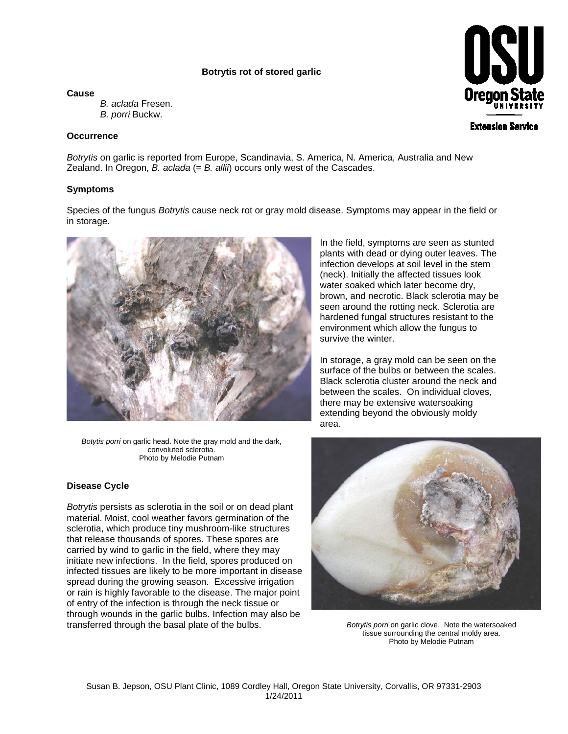## **Botrytis rot of stored garlic**

**Cause**

*B. aclada* Fresen. *B. porri* Buckw.

### **Occurrence**

*Botrytis* on garlic is reported from Europe, Scandinavia, S. America, N. America, Australia and New Zealand. In Oregon, *B. aclada* (= *B. allii*) occurs only west of the Cascades.

## **Symptoms**

Species of the fungus *Botrytis* cause neck rot or gray mold disease. Symptoms may appear in the field or in storage.



*Botytis porri* on garlic head. Note the gray mold and the dark, convoluted sclerotia. Photo by Melodie Putnam

#### **Disease Cycle**

*Botrytis* persists as sclerotia in the soil or on dead plant material. Moist, cool weather favors germination of the sclerotia, which produce tiny mushroom-like structures that release thousands of spores. These spores are carried by wind to garlic in the field, where they may initiate new infections. In the field, spores produced on infected tissues are likely to be more important in disease spread during the growing season. Excessive irrigation or rain is highly favorable to the disease. The major point of entry of the infection is through the neck tissue or through wounds in the garlic bulbs. Infection may also be transferred through the basal plate of the bulbs. *Botrytis porri* on garlic clove. Note the watersoaked

In the field, symptoms are seen as stunted plants with dead or dying outer leaves. The infection develops at soil level in the stem (neck). Initially the affected tissues look water soaked which later become dry, brown, and necrotic. Black sclerotia may be seen around the rotting neck. Sclerotia are hardened fungal structures resistant to the environment which allow the fungus to survive the winter.

In storage, a gray mold can be seen on the surface of the bulbs or between the scales. Black sclerotia cluster around the neck and between the scales. On individual cloves, there may be extensive watersoaking extending beyond the obviously moldy area.



tissue surrounding the central moldy area. Photo by Melodie Putnam